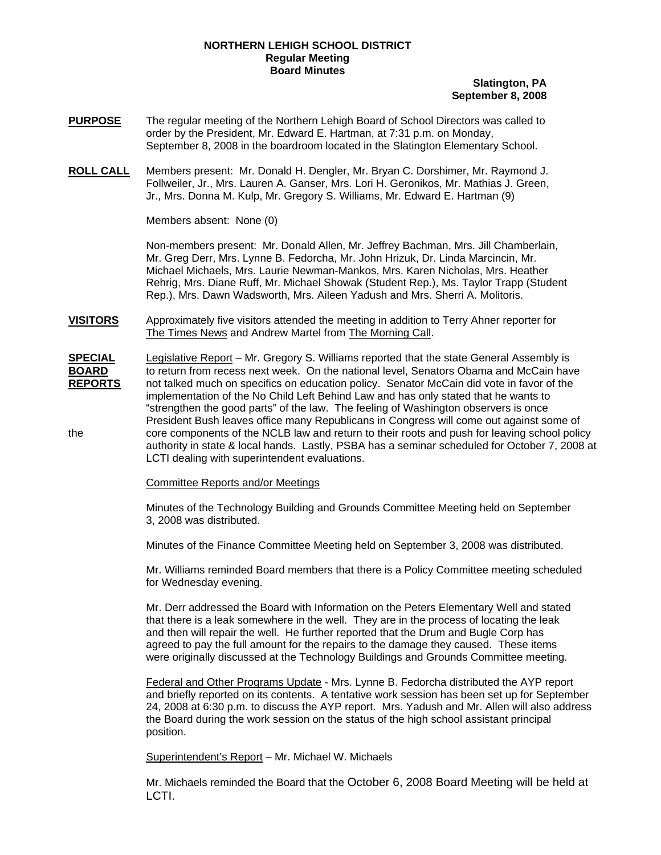## **NORTHERN LEHIGH SCHOOL DISTRICT Regular Meeting Board Minutes**

## **Slatington, PA September 8, 2008**

- **PURPOSE** The regular meeting of the Northern Lehigh Board of School Directors was called to order by the President, Mr. Edward E. Hartman, at 7:31 p.m. on Monday, September 8, 2008 in the boardroom located in the Slatington Elementary School.
- **ROLL CALL** Members present: Mr. Donald H. Dengler, Mr. Bryan C. Dorshimer, Mr. Raymond J. Follweiler, Jr., Mrs. Lauren A. Ganser, Mrs. Lori H. Geronikos, Mr. Mathias J. Green, Jr., Mrs. Donna M. Kulp, Mr. Gregory S. Williams, Mr. Edward E. Hartman (9)

Members absent: None (0)

Non-members present: Mr. Donald Allen, Mr. Jeffrey Bachman, Mrs. Jill Chamberlain, Mr. Greg Derr, Mrs. Lynne B. Fedorcha, Mr. John Hrizuk, Dr. Linda Marcincin, Mr. Michael Michaels, Mrs. Laurie Newman-Mankos, Mrs. Karen Nicholas, Mrs. Heather Rehrig, Mrs. Diane Ruff, Mr. Michael Showak (Student Rep.), Ms. Taylor Trapp (Student Rep.), Mrs. Dawn Wadsworth, Mrs. Aileen Yadush and Mrs. Sherri A. Molitoris.

- **VISITORS** Approximately five visitors attended the meeting in addition to Terry Ahner reporter for The Times News and Andrew Martel from The Morning Call.
- **SPECIAL** Legislative Report Mr. Gregory S. Williams reported that the state General Assembly is **BOARD** to return from recess next week. On the national level, Senators Obama and McCain have **REPORTS** not talked much on specifics on education policy. Senator McCain did vote in favor of the implementation of the No Child Left Behind Law and has only stated that he wants to "strengthen the good parts" of the law. The feeling of Washington observers is once President Bush leaves office many Republicans in Congress will come out against some of the core components of the NCLB law and return to their roots and push for leaving school policy authority in state & local hands. Lastly, PSBA has a seminar scheduled for October 7, 2008 at LCTI dealing with superintendent evaluations.

## Committee Reports and/or Meetings

Minutes of the Technology Building and Grounds Committee Meeting held on September 3, 2008 was distributed.

Minutes of the Finance Committee Meeting held on September 3, 2008 was distributed.

Mr. Williams reminded Board members that there is a Policy Committee meeting scheduled for Wednesday evening.

Mr. Derr addressed the Board with Information on the Peters Elementary Well and stated that there is a leak somewhere in the well. They are in the process of locating the leak and then will repair the well. He further reported that the Drum and Bugle Corp has agreed to pay the full amount for the repairs to the damage they caused. These items were originally discussed at the Technology Buildings and Grounds Committee meeting.

Federal and Other Programs Update - Mrs. Lynne B. Fedorcha distributed the AYP report and briefly reported on its contents. A tentative work session has been set up for September 24, 2008 at 6:30 p.m. to discuss the AYP report. Mrs. Yadush and Mr. Allen will also address the Board during the work session on the status of the high school assistant principal position.

Superintendent's Report – Mr. Michael W. Michaels

Mr. Michaels reminded the Board that the October 6, 2008 Board Meeting will be held at LCTI.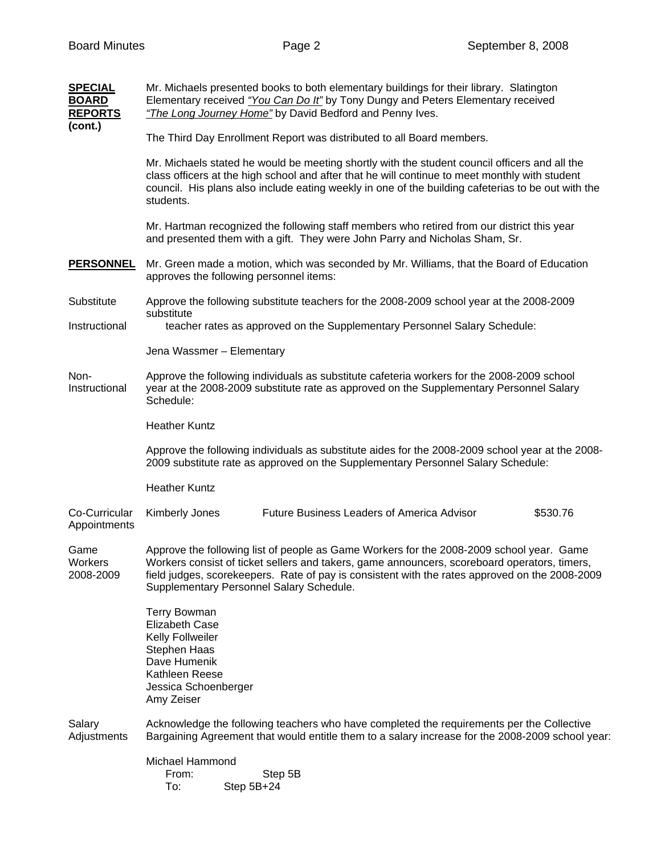| <b>SPECIAL</b><br><b>BOARD</b><br><b>REPORTS</b><br>(cont.) | Mr. Michaels presented books to both elementary buildings for their library. Slatington<br>Elementary received "You Can Do It" by Tony Dungy and Peters Elementary received<br>"The Long Journey Home" by David Bedford and Penny Ives.                                                                                                |  |  |  |
|-------------------------------------------------------------|----------------------------------------------------------------------------------------------------------------------------------------------------------------------------------------------------------------------------------------------------------------------------------------------------------------------------------------|--|--|--|
|                                                             | The Third Day Enrollment Report was distributed to all Board members.                                                                                                                                                                                                                                                                  |  |  |  |
|                                                             | Mr. Michaels stated he would be meeting shortly with the student council officers and all the<br>class officers at the high school and after that he will continue to meet monthly with student<br>council. His plans also include eating weekly in one of the building cafeterias to be out with the<br>students.                     |  |  |  |
|                                                             | Mr. Hartman recognized the following staff members who retired from our district this year<br>and presented them with a gift. They were John Parry and Nicholas Sham, Sr.                                                                                                                                                              |  |  |  |
| <b>PERSONNEL</b>                                            | Mr. Green made a motion, which was seconded by Mr. Williams, that the Board of Education<br>approves the following personnel items:                                                                                                                                                                                                    |  |  |  |
| Substitute                                                  | Approve the following substitute teachers for the 2008-2009 school year at the 2008-2009<br>substitute                                                                                                                                                                                                                                 |  |  |  |
| Instructional                                               | teacher rates as approved on the Supplementary Personnel Salary Schedule:                                                                                                                                                                                                                                                              |  |  |  |
|                                                             | Jena Wassmer - Elementary                                                                                                                                                                                                                                                                                                              |  |  |  |
| Non-<br>Instructional                                       | Approve the following individuals as substitute cafeteria workers for the 2008-2009 school<br>year at the 2008-2009 substitute rate as approved on the Supplementary Personnel Salary<br>Schedule:                                                                                                                                     |  |  |  |
|                                                             | <b>Heather Kuntz</b>                                                                                                                                                                                                                                                                                                                   |  |  |  |
|                                                             | Approve the following individuals as substitute aides for the 2008-2009 school year at the 2008-<br>2009 substitute rate as approved on the Supplementary Personnel Salary Schedule:                                                                                                                                                   |  |  |  |
|                                                             | <b>Heather Kuntz</b>                                                                                                                                                                                                                                                                                                                   |  |  |  |
| Co-Curricular<br>Appointments                               | Future Business Leaders of America Advisor<br>Kimberly Jones<br>\$530.76                                                                                                                                                                                                                                                               |  |  |  |
| Game<br>Workers<br>2008-2009                                | Approve the following list of people as Game Workers for the 2008-2009 school year. Game<br>Workers consist of ticket sellers and takers, game announcers, scoreboard operators, timers,<br>field judges, scorekeepers. Rate of pay is consistent with the rates approved on the 2008-2009<br>Supplementary Personnel Salary Schedule. |  |  |  |
|                                                             | <b>Terry Bowman</b><br><b>Elizabeth Case</b><br>Kelly Follweiler<br>Stephen Haas<br>Dave Humenik<br>Kathleen Reese<br>Jessica Schoenberger<br>Amy Zeiser                                                                                                                                                                               |  |  |  |
| Salary<br>Adjustments                                       | Acknowledge the following teachers who have completed the requirements per the Collective<br>Bargaining Agreement that would entitle them to a salary increase for the 2008-2009 school year:                                                                                                                                          |  |  |  |
|                                                             | Michael Hammond<br>Step 5B<br>From:<br>To:<br>Step 5B+24                                                                                                                                                                                                                                                                               |  |  |  |
|                                                             |                                                                                                                                                                                                                                                                                                                                        |  |  |  |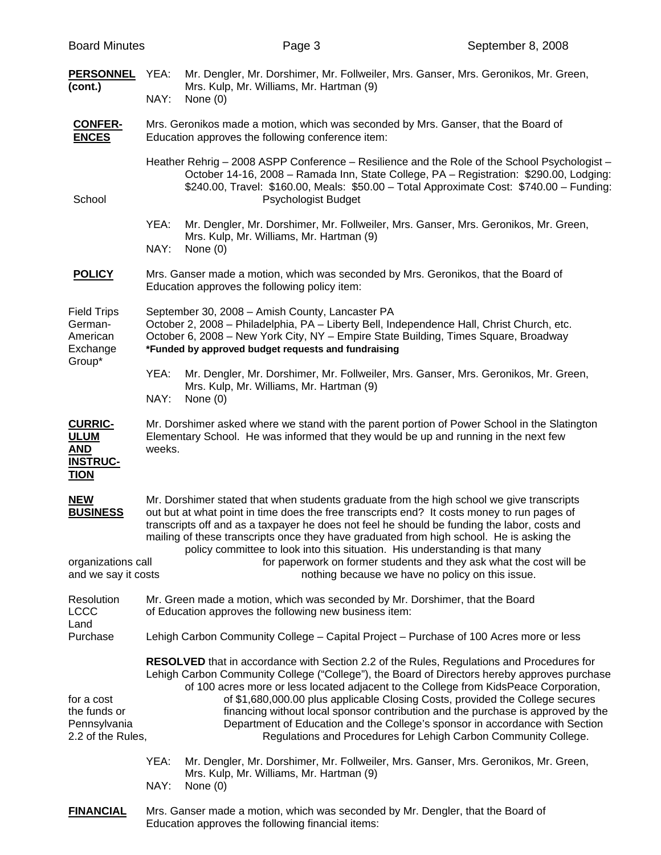| <b>Board Minutes</b>                                                          |                                                                                                                                                                                                                                                                                                                                                                                                                                                                      | Page 3                                                                                                                                                                                    | September 8, 2008                                                                                                                                                                                                                                                                                                                                                                                                    |  |
|-------------------------------------------------------------------------------|----------------------------------------------------------------------------------------------------------------------------------------------------------------------------------------------------------------------------------------------------------------------------------------------------------------------------------------------------------------------------------------------------------------------------------------------------------------------|-------------------------------------------------------------------------------------------------------------------------------------------------------------------------------------------|----------------------------------------------------------------------------------------------------------------------------------------------------------------------------------------------------------------------------------------------------------------------------------------------------------------------------------------------------------------------------------------------------------------------|--|
| <b>PERSONNEL</b><br>(cont.)                                                   | YEA:<br>NAY:                                                                                                                                                                                                                                                                                                                                                                                                                                                         | Mr. Dengler, Mr. Dorshimer, Mr. Follweiler, Mrs. Ganser, Mrs. Geronikos, Mr. Green,<br>Mrs. Kulp, Mr. Williams, Mr. Hartman (9)<br>None $(0)$                                             |                                                                                                                                                                                                                                                                                                                                                                                                                      |  |
| <b>CONFER-</b><br><b>ENCES</b>                                                | Mrs. Geronikos made a motion, which was seconded by Mrs. Ganser, that the Board of<br>Education approves the following conference item:                                                                                                                                                                                                                                                                                                                              |                                                                                                                                                                                           |                                                                                                                                                                                                                                                                                                                                                                                                                      |  |
| School                                                                        |                                                                                                                                                                                                                                                                                                                                                                                                                                                                      | Psychologist Budget                                                                                                                                                                       | Heather Rehrig - 2008 ASPP Conference - Resilience and the Role of the School Psychologist -<br>October 14-16, 2008 - Ramada Inn, State College, PA - Registration: \$290.00, Lodging:<br>\$240.00, Travel: \$160.00, Meals: \$50.00 - Total Approximate Cost: \$740.00 - Funding:                                                                                                                                   |  |
|                                                                               | YEA:<br>NAY:                                                                                                                                                                                                                                                                                                                                                                                                                                                         | Mr. Dengler, Mr. Dorshimer, Mr. Follweiler, Mrs. Ganser, Mrs. Geronikos, Mr. Green,<br>Mrs. Kulp, Mr. Williams, Mr. Hartman (9)<br>None $(0)$                                             |                                                                                                                                                                                                                                                                                                                                                                                                                      |  |
| <b>POLICY</b>                                                                 | Mrs. Ganser made a motion, which was seconded by Mrs. Geronikos, that the Board of<br>Education approves the following policy item:                                                                                                                                                                                                                                                                                                                                  |                                                                                                                                                                                           |                                                                                                                                                                                                                                                                                                                                                                                                                      |  |
| <b>Field Trips</b><br>German-<br>American<br>Exchange                         | September 30, 2008 - Amish County, Lancaster PA<br>October 2, 2008 - Philadelphia, PA - Liberty Bell, Independence Hall, Christ Church, etc.<br>October 6, 2008 - New York City, NY - Empire State Building, Times Square, Broadway<br>*Funded by approved budget requests and fundraising                                                                                                                                                                           |                                                                                                                                                                                           |                                                                                                                                                                                                                                                                                                                                                                                                                      |  |
| Group*                                                                        | YEA:<br>NAY:                                                                                                                                                                                                                                                                                                                                                                                                                                                         | Mr. Dengler, Mr. Dorshimer, Mr. Follweiler, Mrs. Ganser, Mrs. Geronikos, Mr. Green,<br>Mrs. Kulp, Mr. Williams, Mr. Hartman (9)<br>None $(0)$                                             |                                                                                                                                                                                                                                                                                                                                                                                                                      |  |
| <b>CURRIC-</b><br><b>ULUM</b><br><b>AND</b><br><b>INSTRUC-</b><br><b>TION</b> | weeks.                                                                                                                                                                                                                                                                                                                                                                                                                                                               | Mr. Dorshimer asked where we stand with the parent portion of Power School in the Slatington<br>Elementary School. He was informed that they would be up and running in the next few      |                                                                                                                                                                                                                                                                                                                                                                                                                      |  |
| <b>NEW</b><br><b>BUSINESS</b>                                                 | Mr. Dorshimer stated that when students graduate from the high school we give transcripts<br>out but at what point in time does the free transcripts end? It costs money to run pages of<br>transcripts off and as a taxpayer he does not feel he should be funding the labor, costs and<br>mailing of these transcripts once they have graduated from high school. He is asking the<br>policy committee to look into this situation. His understanding is that many |                                                                                                                                                                                           |                                                                                                                                                                                                                                                                                                                                                                                                                      |  |
| organizations call<br>and we say it costs                                     |                                                                                                                                                                                                                                                                                                                                                                                                                                                                      |                                                                                                                                                                                           | for paperwork on former students and they ask what the cost will be<br>nothing because we have no policy on this issue.                                                                                                                                                                                                                                                                                              |  |
| Resolution<br><b>LCCC</b>                                                     |                                                                                                                                                                                                                                                                                                                                                                                                                                                                      | Mr. Green made a motion, which was seconded by Mr. Dorshimer, that the Board<br>of Education approves the following new business item:                                                    |                                                                                                                                                                                                                                                                                                                                                                                                                      |  |
| Land<br>Purchase                                                              |                                                                                                                                                                                                                                                                                                                                                                                                                                                                      | Lehigh Carbon Community College - Capital Project - Purchase of 100 Acres more or less                                                                                                    |                                                                                                                                                                                                                                                                                                                                                                                                                      |  |
| for a cost<br>the funds or<br>Pennsylvania<br>2.2 of the Rules,               |                                                                                                                                                                                                                                                                                                                                                                                                                                                                      | <b>RESOLVED</b> that in accordance with Section 2.2 of the Rules, Regulations and Procedures for<br>of 100 acres more or less located adjacent to the College from KidsPeace Corporation, | Lehigh Carbon Community College ("College"), the Board of Directors hereby approves purchase<br>of \$1,680,000.00 plus applicable Closing Costs, provided the College secures<br>financing without local sponsor contribution and the purchase is approved by the<br>Department of Education and the College's sponsor in accordance with Section<br>Regulations and Procedures for Lehigh Carbon Community College. |  |
|                                                                               | YEA:<br>NAY:                                                                                                                                                                                                                                                                                                                                                                                                                                                         | Mr. Dengler, Mr. Dorshimer, Mr. Follweiler, Mrs. Ganser, Mrs. Geronikos, Mr. Green,<br>Mrs. Kulp, Mr. Williams, Mr. Hartman (9)<br>None $(0)$                                             |                                                                                                                                                                                                                                                                                                                                                                                                                      |  |
| <b>FINANCIAL</b>                                                              |                                                                                                                                                                                                                                                                                                                                                                                                                                                                      | Mrs. Ganser made a motion, which was seconded by Mr. Dengler, that the Board of                                                                                                           |                                                                                                                                                                                                                                                                                                                                                                                                                      |  |

Education approves the following financial items: